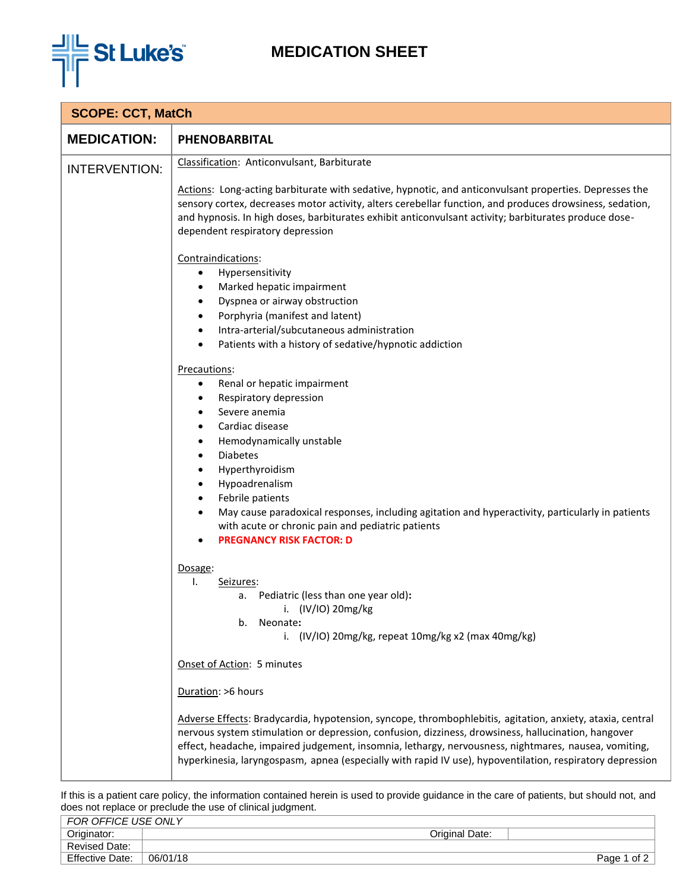

## **MEDICATION SHEET**

| <b>SCOPE: CCT, MatCh</b> |                                                                                                                                                                                                                                                                                                                                                                                                                                                                                                                                                                                                                                                                                                                                                                                                                                                                                                                                                                                                             |  |
|--------------------------|-------------------------------------------------------------------------------------------------------------------------------------------------------------------------------------------------------------------------------------------------------------------------------------------------------------------------------------------------------------------------------------------------------------------------------------------------------------------------------------------------------------------------------------------------------------------------------------------------------------------------------------------------------------------------------------------------------------------------------------------------------------------------------------------------------------------------------------------------------------------------------------------------------------------------------------------------------------------------------------------------------------|--|
| <b>MEDICATION:</b>       | PHENOBARBITAL                                                                                                                                                                                                                                                                                                                                                                                                                                                                                                                                                                                                                                                                                                                                                                                                                                                                                                                                                                                               |  |
| <b>INTERVENTION:</b>     | Classification: Anticonvulsant, Barbiturate<br>Actions: Long-acting barbiturate with sedative, hypnotic, and anticonvulsant properties. Depresses the<br>sensory cortex, decreases motor activity, alters cerebellar function, and produces drowsiness, sedation,<br>and hypnosis. In high doses, barbiturates exhibit anticonvulsant activity; barbiturates produce dose-<br>dependent respiratory depression<br>Contraindications:<br>Hypersensitivity<br>$\bullet$<br>Marked hepatic impairment<br>$\bullet$<br>Dyspnea or airway obstruction<br>$\bullet$<br>Porphyria (manifest and latent)<br>$\bullet$<br>Intra-arterial/subcutaneous administration<br>$\bullet$<br>Patients with a history of sedative/hypnotic addiction<br>٠<br>Precautions:<br>Renal or hepatic impairment<br>$\bullet$<br>Respiratory depression<br>٠<br>Severe anemia<br>Cardiac disease<br>$\bullet$<br>Hemodynamically unstable<br>٠<br><b>Diabetes</b><br>$\bullet$<br>Hyperthyroidism<br>٠<br>Hypoadrenalism<br>$\bullet$ |  |
|                          | Febrile patients<br>May cause paradoxical responses, including agitation and hyperactivity, particularly in patients<br>$\bullet$<br>with acute or chronic pain and pediatric patients<br><b>PREGNANCY RISK FACTOR: D</b><br>Dosage:<br>Ι.<br>Seizures:<br>a. Pediatric (less than one year old):<br>i. (IV/IO) 20mg/kg<br>b.<br>Neonate:<br>i. (IV/IO) 20mg/kg, repeat 10mg/kg x2 (max 40mg/kg)<br>Onset of Action: 5 minutes<br>Duration: >6 hours<br>Adverse Effects: Bradycardia, hypotension, syncope, thrombophlebitis, agitation, anxiety, ataxia, central<br>nervous system stimulation or depression, confusion, dizziness, drowsiness, hallucination, hangover<br>effect, headache, impaired judgement, insomnia, lethargy, nervousness, nightmares, nausea, vomiting,<br>hyperkinesia, laryngospasm, apnea (especially with rapid IV use), hypoventilation, respiratory depression                                                                                                               |  |

If this is a patient care policy, the information contained herein is used to provide guidance in the care of patients, but should not, and does not replace or preclude the use of clinical judgment.

| Originator:<br>Original Date:              |      |
|--------------------------------------------|------|
| Revised Date:                              |      |
| <b>Effective Date:</b><br>06/01/18<br>Page | of 2 |